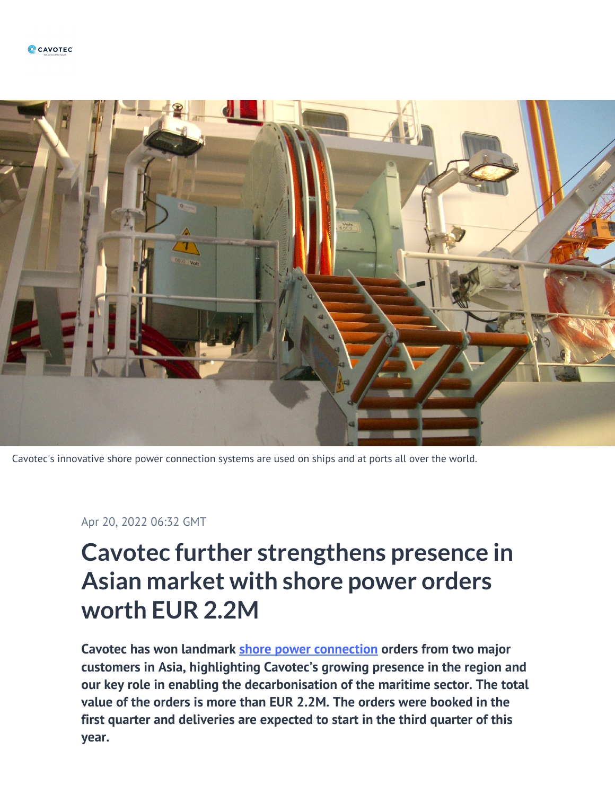

Cavotec's innovative shore power connection systems are used on ships and at ports all over the world.

Apr 20, 2022 06:32 GMT

## **Cavotec further strengthens presence in Asian market with shore power orders worth EUR 2.2M**

**Cavotec has won landmark [shore power connection](https://www.cavotec.com/en/your-applications/ports-maritime/shore-power) orders from two major customers in Asia, highlighting Cavotec's growing presence in the region and our key role in enabling the decarbonisation of the maritime sector. The total value of the orders is more than EUR 2.2M. The orders were booked in the first quarter and deliveries are expected to start in the third quarter of this year.**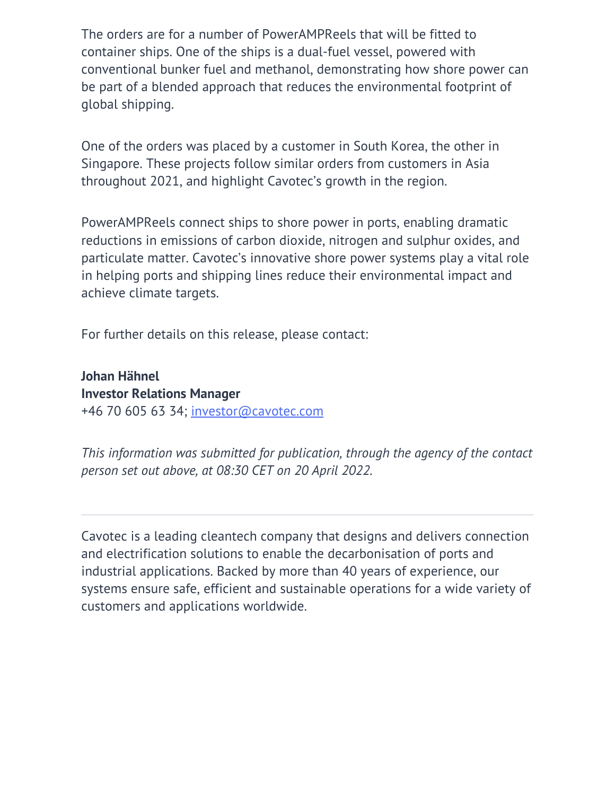The orders are for a number of PowerAMPReels that will be fitted to container ships. One of the ships is a dual-fuel vessel, powered with conventional bunker fuel and methanol, demonstrating how shore power can be part of a blended approach that reduces the environmental footprint of global shipping.

One of the orders was placed by a customer in South Korea, the other in Singapore. These projects follow similar orders from customers in Asia throughout 2021, and highlight Cavotec's growth in the region.

PowerAMPReels connect ships to shore power in ports, enabling dramatic reductions in emissions of carbon dioxide, nitrogen and sulphur oxides, and particulate matter. Cavotec's innovative shore power systems play a vital role in helping ports and shipping lines reduce their environmental impact and achieve climate targets.

For further details on this release, please contact:

**Johan Hähnel Investor Relations Manager** +46 70 605 63 34; [investor@cavotec.com](mailto:investor@cavotec.com)

*This information was submitted for publication, through the agency of the contact person set out above, at 08:30 CET on 20 April 2022.*

Cavotec is a leading cleantech company that designs and delivers connection and electrification solutions to enable the decarbonisation of ports and industrial applications. Backed by more than 40 years of experience, our systems ensure safe, efficient and sustainable operations for a wide variety of customers and applications worldwide.